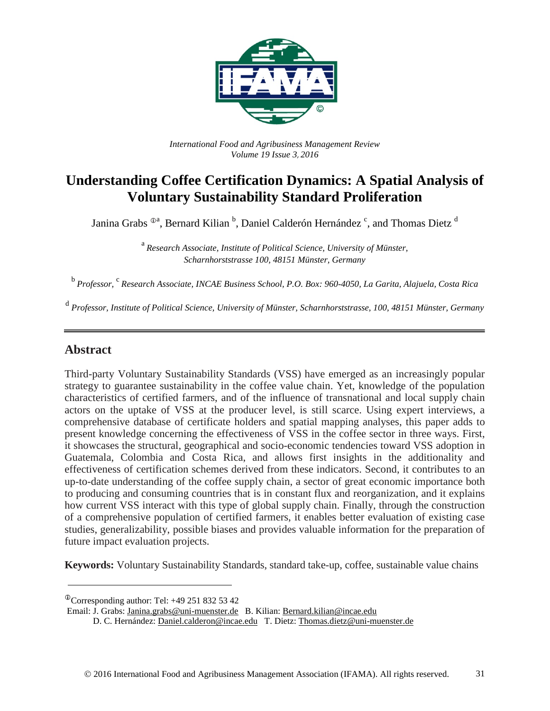

*International Food and Agribusiness Management Review Volume 19 Issue 3*, *2016*

# **Understanding Coffee Certification Dynamics: A Spatial Analysis of Voluntary Sustainability Standard Proliferation**

Janina Grabs <sup>®a</sup>, Bernard Kilian <sup>b</sup>, Daniel Calderón Hernández <sup>c</sup>, and Thomas Dietz <sup>d</sup>

<sup>a</sup> *Research Associate, Institute of Political Science, University of Münster, Scharnhorststrasse 100, 48151 Münster, Germany*

<sup>b</sup> *Professor,* <sup>c</sup> *Research Associate, INCAE Business School, P.O. Box: 960-4050, La Garita, Alajuela, Costa Rica*

<sup>d</sup> *Professor, Institute of Political Science, University of Münster, Scharnhorststrasse, 100, 48151 Münster, Germany*

## **Abstract**

Third-party Voluntary Sustainability Standards (VSS) have emerged as an increasingly popular strategy to guarantee sustainability in the coffee value chain. Yet, knowledge of the population characteristics of certified farmers, and of the influence of transnational and local supply chain actors on the uptake of VSS at the producer level, is still scarce. Using expert interviews, a comprehensive database of certificate holders and spatial mapping analyses, this paper adds to present knowledge concerning the effectiveness of VSS in the coffee sector in three ways. First, it showcases the structural, geographical and socio-economic tendencies toward VSS adoption in Guatemala, Colombia and Costa Rica, and allows first insights in the additionality and effectiveness of certification schemes derived from these indicators. Second, it contributes to an up-to-date understanding of the coffee supply chain, a sector of great economic importance both to producing and consuming countries that is in constant flux and reorganization, and it explains how current VSS interact with this type of global supply chain. Finally, through the construction of a comprehensive population of certified farmers, it enables better evaluation of existing case studies, generalizability, possible biases and provides valuable information for the preparation of future impact evaluation projects.

**Keywords:** Voluntary Sustainability Standards, standard take-up, coffee, sustainable value chains

 $^{\circ}$ Corresponding author: Tel: +49 251 832 53 42

Email: J. Grabs: [Janina.grabs@uni-muenster.de](mailto:Janina.grabs@uni-muenster.de) B. Kilian: [Bernard.kilian@incae.edu](mailto:Bernard.kilian@incae.edu)

D. C. Hernández: [Daniel.calderon@incae.edu](mailto:Daniel.calderon@incae.edu) T. Dietz[: Thomas.dietz@uni-muenster.de](mailto:Thomas.dietz@uni-muenster.de)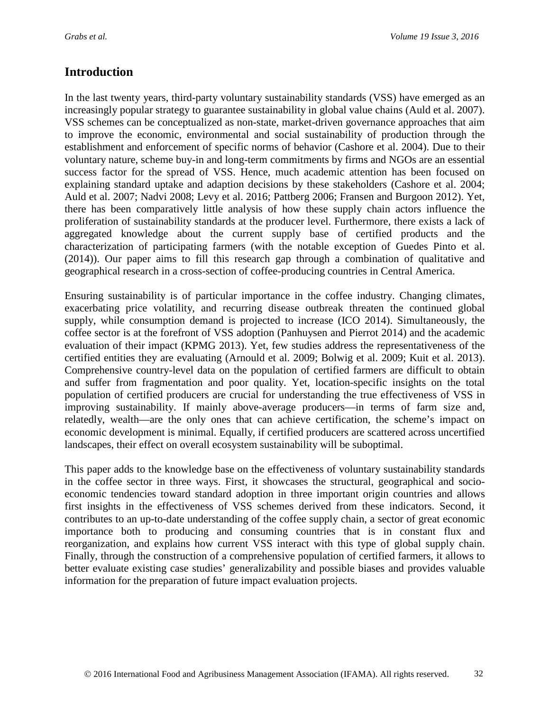## **Introduction**

In the last twenty years, third-party voluntary sustainability standards (VSS) have emerged as an increasingly popular strategy to guarantee sustainability in global value chains (Auld et al. 2007). VSS schemes can be conceptualized as non-state, market-driven governance approaches that aim to improve the economic, environmental and social sustainability of production through the establishment and enforcement of specific norms of behavior (Cashore et al. 2004). Due to their voluntary nature, scheme buy-in and long-term commitments by firms and NGOs are an essential success factor for the spread of VSS. Hence, much academic attention has been focused on explaining standard uptake and adaption decisions by these stakeholders (Cashore et al. 2004; Auld et al. 2007; Nadvi 2008; Levy et al. 2016; Pattberg 2006; Fransen and Burgoon 2012). Yet, there has been comparatively little analysis of how these supply chain actors influence the proliferation of sustainability standards at the producer level. Furthermore, there exists a lack of aggregated knowledge about the current supply base of certified products and the characterization of participating farmers (with the notable exception of Guedes Pinto et al. (2014)). Our paper aims to fill this research gap through a combination of qualitative and geographical research in a cross-section of coffee-producing countries in Central America.

Ensuring sustainability is of particular importance in the coffee industry. Changing climates, exacerbating price volatility, and recurring disease outbreak threaten the continued global supply, while consumption demand is projected to increase (ICO 2014). Simultaneously, the coffee sector is at the forefront of VSS adoption (Panhuysen and Pierrot 2014) and the academic evaluation of their impact (KPMG 2013). Yet, few studies address the representativeness of the certified entities they are evaluating (Arnould et al. 2009; Bolwig et al. 2009; Kuit et al. 2013). Comprehensive country-level data on the population of certified farmers are difficult to obtain and suffer from fragmentation and poor quality. Yet, location-specific insights on the total population of certified producers are crucial for understanding the true effectiveness of VSS in improving sustainability. If mainly above-average producers—in terms of farm size and, relatedly, wealth—are the only ones that can achieve certification, the scheme's impact on economic development is minimal. Equally, if certified producers are scattered across uncertified landscapes, their effect on overall ecosystem sustainability will be suboptimal.

This paper adds to the knowledge base on the effectiveness of voluntary sustainability standards in the coffee sector in three ways. First, it showcases the structural, geographical and socioeconomic tendencies toward standard adoption in three important origin countries and allows first insights in the effectiveness of VSS schemes derived from these indicators. Second, it contributes to an up-to-date understanding of the coffee supply chain, a sector of great economic importance both to producing and consuming countries that is in constant flux and reorganization, and explains how current VSS interact with this type of global supply chain. Finally, through the construction of a comprehensive population of certified farmers, it allows to better evaluate existing case studies' generalizability and possible biases and provides valuable information for the preparation of future impact evaluation projects.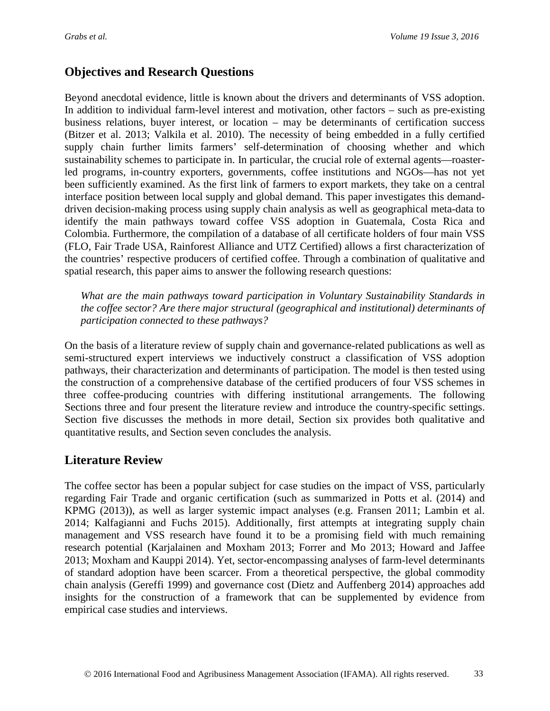## **Objectives and Research Questions**

Beyond anecdotal evidence, little is known about the drivers and determinants of VSS adoption. In addition to individual farm-level interest and motivation, other factors – such as pre-existing business relations, buyer interest, or location – may be determinants of certification success (Bitzer et al. 2013; Valkila et al. 2010). The necessity of being embedded in a fully certified supply chain further limits farmers' self-determination of choosing whether and which sustainability schemes to participate in. In particular, the crucial role of external agents—roasterled programs, in-country exporters, governments, coffee institutions and NGOs—has not yet been sufficiently examined. As the first link of farmers to export markets, they take on a central interface position between local supply and global demand. This paper investigates this demanddriven decision-making process using supply chain analysis as well as geographical meta-data to identify the main pathways toward coffee VSS adoption in Guatemala, Costa Rica and Colombia. Furthermore, the compilation of a database of all certificate holders of four main VSS (FLO, Fair Trade USA, Rainforest Alliance and UTZ Certified) allows a first characterization of the countries' respective producers of certified coffee. Through a combination of qualitative and spatial research, this paper aims to answer the following research questions:

*What are the main pathways toward participation in Voluntary Sustainability Standards in the coffee sector? Are there major structural (geographical and institutional) determinants of participation connected to these pathways?*

On the basis of a literature review of supply chain and governance-related publications as well as semi-structured expert interviews we inductively construct a classification of VSS adoption pathways, their characterization and determinants of participation. The model is then tested using the construction of a comprehensive database of the certified producers of four VSS schemes in three coffee-producing countries with differing institutional arrangements. The following Sections three and four present the literature review and introduce the country-specific settings. Section five discusses the methods in more detail, Section six provides both qualitative and quantitative results, and Section seven concludes the analysis.

## **Literature Review**

The coffee sector has been a popular subject for case studies on the impact of VSS, particularly regarding Fair Trade and organic certification (such as summarized in Potts et al. (2014) and KPMG (2013)), as well as larger systemic impact analyses (e.g. Fransen 2011; Lambin et al. 2014; Kalfagianni and Fuchs 2015). Additionally, first attempts at integrating supply chain management and VSS research have found it to be a promising field with much remaining research potential (Karjalainen and Moxham 2013; Forrer and Mo 2013; Howard and Jaffee 2013; Moxham and Kauppi 2014). Yet, sector-encompassing analyses of farm-level determinants of standard adoption have been scarcer. From a theoretical perspective, the global commodity chain analysis (Gereffi 1999) and governance cost (Dietz and Auffenberg 2014) approaches add insights for the construction of a framework that can be supplemented by evidence from empirical case studies and interviews.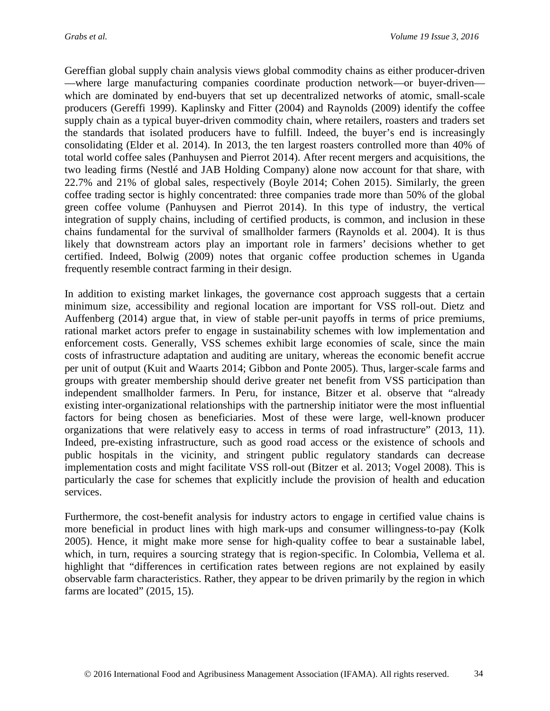Gereffian global supply chain analysis views global commodity chains as either producer-driven —where large manufacturing companies coordinate production network—or buyer-driven which are dominated by end-buyers that set up decentralized networks of atomic, small-scale producers (Gereffi 1999). Kaplinsky and Fitter (2004) and Raynolds (2009) identify the coffee supply chain as a typical buyer-driven commodity chain, where retailers, roasters and traders set the standards that isolated producers have to fulfill. Indeed, the buyer's end is increasingly consolidating (Elder et al. 2014). In 2013, the ten largest roasters controlled more than 40% of total world coffee sales (Panhuysen and Pierrot 2014). After recent mergers and acquisitions, the two leading firms (Nestlé and JAB Holding Company) alone now account for that share, with 22.7% and 21% of global sales, respectively (Boyle 2014; Cohen 2015). Similarly, the green coffee trading sector is highly concentrated: three companies trade more than 50% of the global green coffee volume (Panhuysen and Pierrot 2014). In this type of industry, the vertical integration of supply chains, including of certified products, is common, and inclusion in these chains fundamental for the survival of smallholder farmers (Raynolds et al. 2004). It is thus likely that downstream actors play an important role in farmers' decisions whether to get certified. Indeed, Bolwig (2009) notes that organic coffee production schemes in Uganda frequently resemble contract farming in their design.

In addition to existing market linkages, the governance cost approach suggests that a certain minimum size, accessibility and regional location are important for VSS roll-out. Dietz and Auffenberg (2014) argue that, in view of stable per-unit payoffs in terms of price premiums, rational market actors prefer to engage in sustainability schemes with low implementation and enforcement costs. Generally, VSS schemes exhibit large economies of scale, since the main costs of infrastructure adaptation and auditing are unitary, whereas the economic benefit accrue per unit of output (Kuit and Waarts 2014; Gibbon and Ponte 2005). Thus, larger-scale farms and groups with greater membership should derive greater net benefit from VSS participation than independent smallholder farmers. In Peru, for instance, Bitzer et al. observe that "already existing inter-organizational relationships with the partnership initiator were the most influential factors for being chosen as beneficiaries. Most of these were large, well-known producer organizations that were relatively easy to access in terms of road infrastructure" (2013, 11). Indeed, pre-existing infrastructure, such as good road access or the existence of schools and public hospitals in the vicinity, and stringent public regulatory standards can decrease implementation costs and might facilitate VSS roll-out (Bitzer et al. 2013; Vogel 2008). This is particularly the case for schemes that explicitly include the provision of health and education services.

Furthermore, the cost-benefit analysis for industry actors to engage in certified value chains is more beneficial in product lines with high mark-ups and consumer willingness-to-pay (Kolk 2005). Hence, it might make more sense for high-quality coffee to bear a sustainable label, which, in turn, requires a sourcing strategy that is region-specific. In Colombia, Vellema et al. highlight that "differences in certification rates between regions are not explained by easily observable farm characteristics. Rather, they appear to be driven primarily by the region in which farms are located" (2015, 15).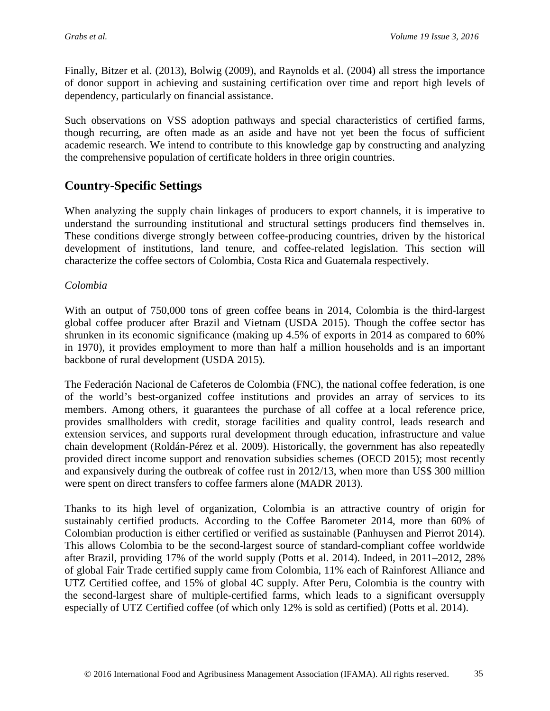Finally, Bitzer et al. (2013), Bolwig (2009), and Raynolds et al. (2004) all stress the importance of donor support in achieving and sustaining certification over time and report high levels of dependency, particularly on financial assistance.

Such observations on VSS adoption pathways and special characteristics of certified farms, though recurring, are often made as an aside and have not yet been the focus of sufficient academic research. We intend to contribute to this knowledge gap by constructing and analyzing the comprehensive population of certificate holders in three origin countries.

# **Country-Specific Settings**

When analyzing the supply chain linkages of producers to export channels, it is imperative to understand the surrounding institutional and structural settings producers find themselves in. These conditions diverge strongly between coffee-producing countries, driven by the historical development of institutions, land tenure, and coffee-related legislation. This section will characterize the coffee sectors of Colombia, Costa Rica and Guatemala respectively.

## *Colombia*

With an output of 750,000 tons of green coffee beans in 2014, Colombia is the third-largest global coffee producer after Brazil and Vietnam (USDA 2015). Though the coffee sector has shrunken in its economic significance (making up 4.5% of exports in 2014 as compared to 60% in 1970), it provides employment to more than half a million households and is an important backbone of rural development (USDA 2015).

The Federación Nacional de Cafeteros de Colombia (FNC), the national coffee federation, is one of the world's best-organized coffee institutions and provides an array of services to its members. Among others, it guarantees the purchase of all coffee at a local reference price, provides smallholders with credit, storage facilities and quality control, leads research and extension services, and supports rural development through education, infrastructure and value chain development (Roldán-Pérez et al. 2009). Historically, the government has also repeatedly provided direct income support and renovation subsidies schemes (OECD 2015); most recently and expansively during the outbreak of coffee rust in 2012/13, when more than US\$ 300 million were spent on direct transfers to coffee farmers alone (MADR 2013).

Thanks to its high level of organization, Colombia is an attractive country of origin for sustainably certified products. According to the Coffee Barometer 2014, more than 60% of Colombian production is either certified or verified as sustainable (Panhuysen and Pierrot 2014). This allows Colombia to be the second-largest source of standard-compliant coffee worldwide after Brazil, providing 17% of the world supply (Potts et al. 2014). Indeed, in 2011–2012, 28% of global Fair Trade certified supply came from Colombia, 11% each of Rainforest Alliance and UTZ Certified coffee, and 15% of global 4C supply. After Peru, Colombia is the country with the second-largest share of multiple-certified farms, which leads to a significant oversupply especially of UTZ Certified coffee (of which only 12% is sold as certified) (Potts et al. 2014).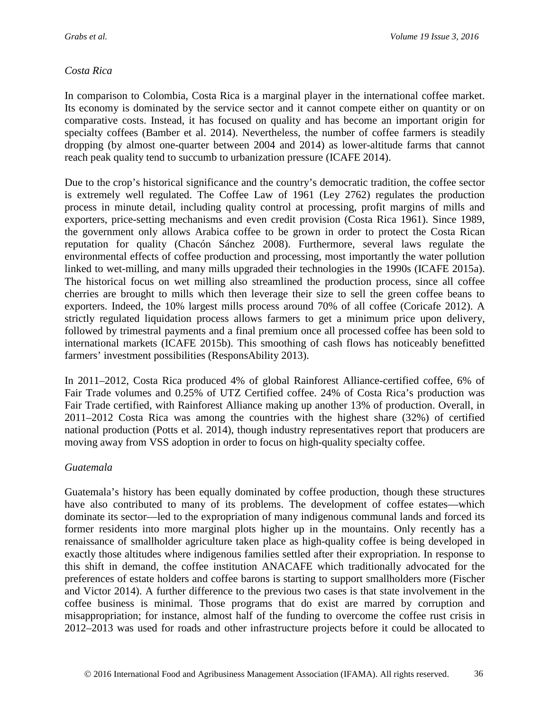### *Costa Rica*

In comparison to Colombia, Costa Rica is a marginal player in the international coffee market. Its economy is dominated by the service sector and it cannot compete either on quantity or on comparative costs. Instead, it has focused on quality and has become an important origin for specialty coffees (Bamber et al. 2014). Nevertheless, the number of coffee farmers is steadily dropping (by almost one-quarter between 2004 and 2014) as lower-altitude farms that cannot reach peak quality tend to succumb to urbanization pressure (ICAFE 2014).

Due to the crop's historical significance and the country's democratic tradition, the coffee sector is extremely well regulated. The Coffee Law of 1961 (Ley 2762) regulates the production process in minute detail, including quality control at processing, profit margins of mills and exporters, price-setting mechanisms and even credit provision (Costa Rica 1961). Since 1989, the government only allows Arabica coffee to be grown in order to protect the Costa Rican reputation for quality (Chacón Sánchez 2008). Furthermore, several laws regulate the environmental effects of coffee production and processing, most importantly the water pollution linked to wet-milling, and many mills upgraded their technologies in the 1990s (ICAFE 2015a). The historical focus on wet milling also streamlined the production process, since all coffee cherries are brought to mills which then leverage their size to sell the green coffee beans to exporters. Indeed, the 10% largest mills process around 70% of all coffee (Coricafe 2012). A strictly regulated liquidation process allows farmers to get a minimum price upon delivery, followed by trimestral payments and a final premium once all processed coffee has been sold to international markets (ICAFE 2015b). This smoothing of cash flows has noticeably benefitted farmers' investment possibilities (ResponsAbility 2013).

In 2011–2012, Costa Rica produced 4% of global Rainforest Alliance-certified coffee, 6% of Fair Trade volumes and 0.25% of UTZ Certified coffee. 24% of Costa Rica's production was Fair Trade certified, with Rainforest Alliance making up another 13% of production. Overall, in 2011–2012 Costa Rica was among the countries with the highest share (32%) of certified national production (Potts et al. 2014), though industry representatives report that producers are moving away from VSS adoption in order to focus on high-quality specialty coffee.

### *Guatemala*

Guatemala's history has been equally dominated by coffee production, though these structures have also contributed to many of its problems. The development of coffee estates—which dominate its sector—led to the expropriation of many indigenous communal lands and forced its former residents into more marginal plots higher up in the mountains. Only recently has a renaissance of smallholder agriculture taken place as high-quality coffee is being developed in exactly those altitudes where indigenous families settled after their expropriation. In response to this shift in demand, the coffee institution ANACAFE which traditionally advocated for the preferences of estate holders and coffee barons is starting to support smallholders more (Fischer and Victor 2014). A further difference to the previous two cases is that state involvement in the coffee business is minimal. Those programs that do exist are marred by corruption and misappropriation; for instance, almost half of the funding to overcome the coffee rust crisis in 2012–2013 was used for roads and other infrastructure projects before it could be allocated to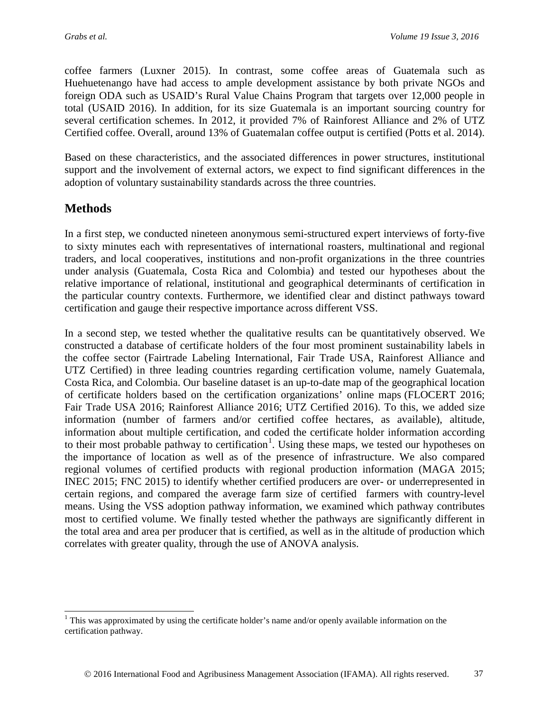coffee farmers (Luxner 2015). In contrast, some coffee areas of Guatemala such as Huehuetenango have had access to ample development assistance by both private NGOs and foreign ODA such as USAID's Rural Value Chains Program that targets over 12,000 people in total (USAID 2016). In addition, for its size Guatemala is an important sourcing country for several certification schemes. In 2012, it provided 7% of Rainforest Alliance and 2% of UTZ Certified coffee. Overall, around 13% of Guatemalan coffee output is certified (Potts et al. 2014).

Based on these characteristics, and the associated differences in power structures, institutional support and the involvement of external actors, we expect to find significant differences in the adoption of voluntary sustainability standards across the three countries.

## **Methods**

In a first step, we conducted nineteen anonymous semi-structured expert interviews of forty-five to sixty minutes each with representatives of international roasters, multinational and regional traders, and local cooperatives, institutions and non-profit organizations in the three countries under analysis (Guatemala, Costa Rica and Colombia) and tested our hypotheses about the relative importance of relational, institutional and geographical determinants of certification in the particular country contexts. Furthermore, we identified clear and distinct pathways toward certification and gauge their respective importance across different VSS.

In a second step, we tested whether the qualitative results can be quantitatively observed. We constructed a database of certificate holders of the four most prominent sustainability labels in the coffee sector (Fairtrade Labeling International, Fair Trade USA, Rainforest Alliance and UTZ Certified) in three leading countries regarding certification volume, namely Guatemala, Costa Rica, and Colombia. Our baseline dataset is an up-to-date map of the geographical location of certificate holders based on the certification organizations' online maps (FLOCERT 2016; Fair Trade USA 2016; Rainforest Alliance 2016; UTZ Certified 2016). To this, we added size information (number of farmers and/or certified coffee hectares, as available), altitude, information about multiple certification, and coded the certificate holder information according to their most probable pathway to certification<sup>[1](#page-6-0)</sup>. Using these maps, we tested our hypotheses on the importance of location as well as of the presence of infrastructure. We also compared regional volumes of certified products with regional production information (MAGA 2015; INEC 2015; FNC 2015) to identify whether certified producers are over- or underrepresented in certain regions, and compared the average farm size of certified farmers with country-level means. Using the VSS adoption pathway information, we examined which pathway contributes most to certified volume. We finally tested whether the pathways are significantly different in the total area and area per producer that is certified, as well as in the altitude of production which correlates with greater quality, through the use of ANOVA analysis.

<span id="page-6-0"></span> $1$  This was approximated by using the certificate holder's name and/or openly available information on the certification pathway.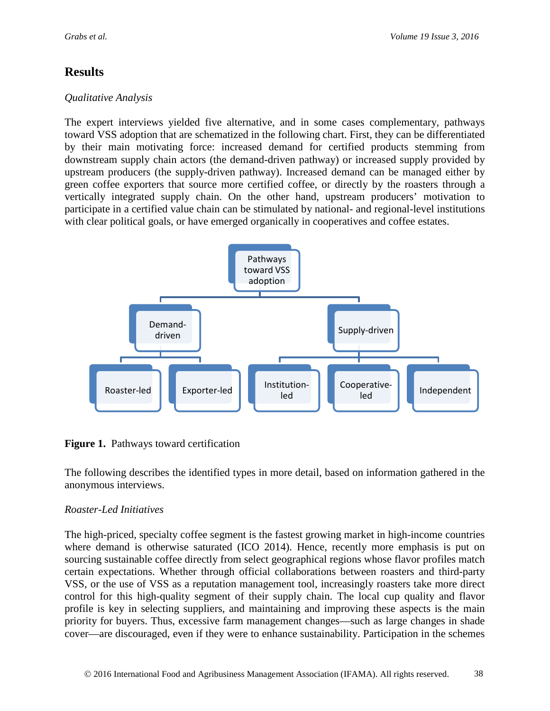# **Results**

## *Qualitative Analysis*

The expert interviews yielded five alternative, and in some cases complementary, pathways toward VSS adoption that are schematized in the following chart. First, they can be differentiated by their main motivating force: increased demand for certified products stemming from downstream supply chain actors (the demand-driven pathway) or increased supply provided by upstream producers (the supply-driven pathway). Increased demand can be managed either by green coffee exporters that source more certified coffee, or directly by the roasters through a vertically integrated supply chain. On the other hand, upstream producers' motivation to participate in a certified value chain can be stimulated by national- and regional-level institutions with clear political goals, or have emerged organically in cooperatives and coffee estates.



**Figure 1.** Pathways toward certification

The following describes the identified types in more detail, based on information gathered in the anonymous interviews.

## *Roaster-Led Initiatives*

The high-priced, specialty coffee segment is the fastest growing market in high-income countries where demand is otherwise saturated (ICO 2014). Hence, recently more emphasis is put on sourcing sustainable coffee directly from select geographical regions whose flavor profiles match certain expectations. Whether through official collaborations between roasters and third-party VSS, or the use of VSS as a reputation management tool, increasingly roasters take more direct control for this high-quality segment of their supply chain. The local cup quality and flavor profile is key in selecting suppliers, and maintaining and improving these aspects is the main priority for buyers. Thus, excessive farm management changes—such as large changes in shade cover—are discouraged, even if they were to enhance sustainability. Participation in the schemes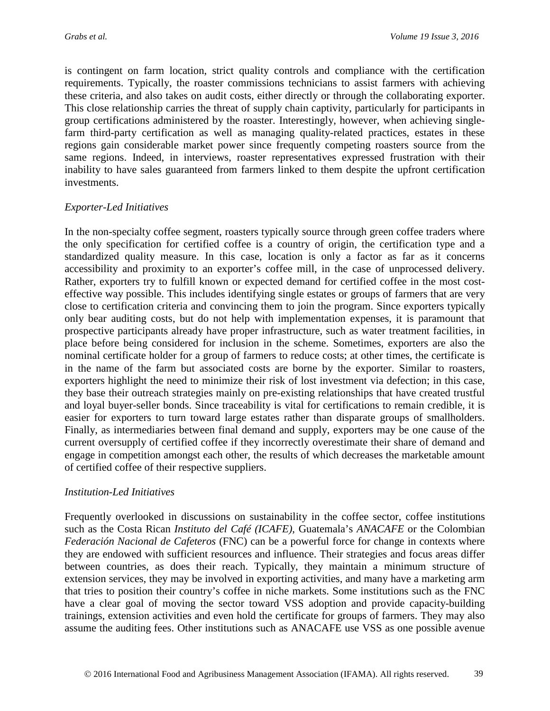is contingent on farm location, strict quality controls and compliance with the certification requirements. Typically, the roaster commissions technicians to assist farmers with achieving these criteria, and also takes on audit costs, either directly or through the collaborating exporter. This close relationship carries the threat of supply chain captivity, particularly for participants in group certifications administered by the roaster. Interestingly, however, when achieving singlefarm third-party certification as well as managing quality-related practices, estates in these regions gain considerable market power since frequently competing roasters source from the same regions. Indeed, in interviews, roaster representatives expressed frustration with their inability to have sales guaranteed from farmers linked to them despite the upfront certification investments.

## *Exporter-Led Initiatives*

In the non-specialty coffee segment, roasters typically source through green coffee traders where the only specification for certified coffee is a country of origin, the certification type and a standardized quality measure. In this case, location is only a factor as far as it concerns accessibility and proximity to an exporter's coffee mill, in the case of unprocessed delivery. Rather, exporters try to fulfill known or expected demand for certified coffee in the most costeffective way possible. This includes identifying single estates or groups of farmers that are very close to certification criteria and convincing them to join the program. Since exporters typically only bear auditing costs, but do not help with implementation expenses, it is paramount that prospective participants already have proper infrastructure, such as water treatment facilities, in place before being considered for inclusion in the scheme. Sometimes, exporters are also the nominal certificate holder for a group of farmers to reduce costs; at other times, the certificate is in the name of the farm but associated costs are borne by the exporter. Similar to roasters, exporters highlight the need to minimize their risk of lost investment via defection; in this case, they base their outreach strategies mainly on pre-existing relationships that have created trustful and loyal buyer-seller bonds. Since traceability is vital for certifications to remain credible, it is easier for exporters to turn toward large estates rather than disparate groups of smallholders. Finally, as intermediaries between final demand and supply, exporters may be one cause of the current oversupply of certified coffee if they incorrectly overestimate their share of demand and engage in competition amongst each other, the results of which decreases the marketable amount of certified coffee of their respective suppliers.

### *Institution-Led Initiatives*

Frequently overlooked in discussions on sustainability in the coffee sector, coffee institutions such as the Costa Rican *Instituto del Café (ICAFE)*, Guatemala's *ANACAFE* or the Colombian *Federación Nacional de Cafeteros* (FNC) can be a powerful force for change in contexts where they are endowed with sufficient resources and influence. Their strategies and focus areas differ between countries, as does their reach. Typically, they maintain a minimum structure of extension services, they may be involved in exporting activities, and many have a marketing arm that tries to position their country's coffee in niche markets. Some institutions such as the FNC have a clear goal of moving the sector toward VSS adoption and provide capacity-building trainings, extension activities and even hold the certificate for groups of farmers. They may also assume the auditing fees. Other institutions such as ANACAFE use VSS as one possible avenue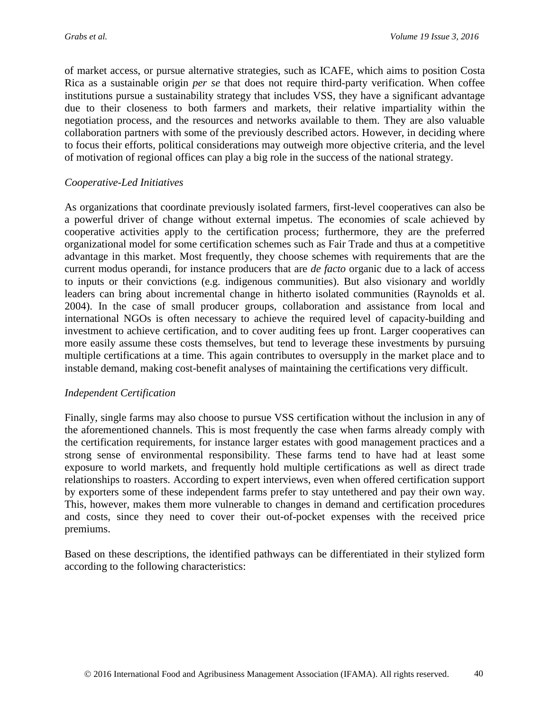of market access, or pursue alternative strategies, such as ICAFE, which aims to position Costa Rica as a sustainable origin *per se* that does not require third-party verification. When coffee institutions pursue a sustainability strategy that includes VSS, they have a significant advantage due to their closeness to both farmers and markets, their relative impartiality within the negotiation process, and the resources and networks available to them. They are also valuable collaboration partners with some of the previously described actors. However, in deciding where to focus their efforts, political considerations may outweigh more objective criteria, and the level of motivation of regional offices can play a big role in the success of the national strategy.

#### *Cooperative-Led Initiatives*

As organizations that coordinate previously isolated farmers, first-level cooperatives can also be a powerful driver of change without external impetus. The economies of scale achieved by cooperative activities apply to the certification process; furthermore, they are the preferred organizational model for some certification schemes such as Fair Trade and thus at a competitive advantage in this market. Most frequently, they choose schemes with requirements that are the current modus operandi, for instance producers that are *de facto* organic due to a lack of access to inputs or their convictions (e.g. indigenous communities). But also visionary and worldly leaders can bring about incremental change in hitherto isolated communities (Raynolds et al. 2004). In the case of small producer groups, collaboration and assistance from local and international NGOs is often necessary to achieve the required level of capacity-building and investment to achieve certification, and to cover auditing fees up front. Larger cooperatives can more easily assume these costs themselves, but tend to leverage these investments by pursuing multiple certifications at a time. This again contributes to oversupply in the market place and to instable demand, making cost-benefit analyses of maintaining the certifications very difficult.

#### *Independent Certification*

Finally, single farms may also choose to pursue VSS certification without the inclusion in any of the aforementioned channels. This is most frequently the case when farms already comply with the certification requirements, for instance larger estates with good management practices and a strong sense of environmental responsibility. These farms tend to have had at least some exposure to world markets, and frequently hold multiple certifications as well as direct trade relationships to roasters. According to expert interviews, even when offered certification support by exporters some of these independent farms prefer to stay untethered and pay their own way. This, however, makes them more vulnerable to changes in demand and certification procedures and costs, since they need to cover their out-of-pocket expenses with the received price premiums.

Based on these descriptions, the identified pathways can be differentiated in their stylized form according to the following characteristics: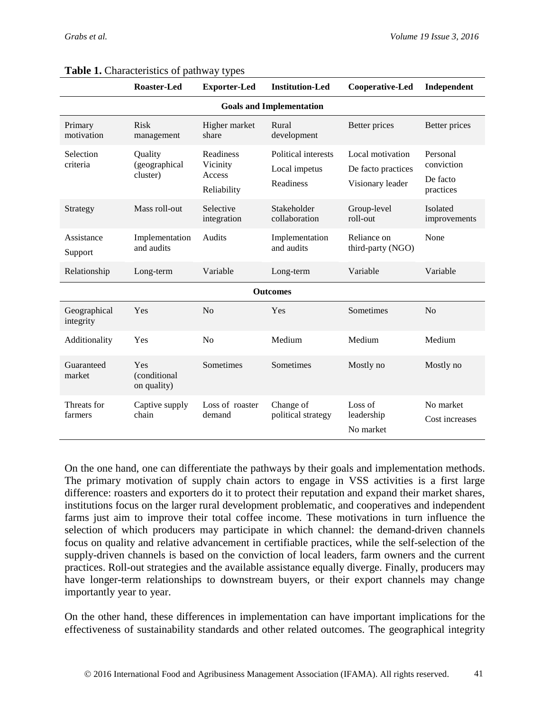|                                 | <b>Roaster-Led</b>                   | <b>Exporter-Led</b>                                   | <b>Institution-Led</b>                            | Cooperative-Led                                            | Independent                                     |  |  |  |
|---------------------------------|--------------------------------------|-------------------------------------------------------|---------------------------------------------------|------------------------------------------------------------|-------------------------------------------------|--|--|--|
| <b>Goals and Implementation</b> |                                      |                                                       |                                                   |                                                            |                                                 |  |  |  |
| Primary<br>motivation           | Risk<br>management                   | Higher market<br>share                                | Rural<br>development                              | Better prices                                              | Better prices                                   |  |  |  |
| Selection<br>criteria           | Quality<br>(geographical<br>cluster) | <b>Readiness</b><br>Vicinity<br>Access<br>Reliability | Political interests<br>Local impetus<br>Readiness | Local motivation<br>De facto practices<br>Visionary leader | Personal<br>conviction<br>De facto<br>practices |  |  |  |
| Strategy                        | Mass roll-out                        | Selective<br>integration                              | Stakeholder<br>collaboration                      | Group-level<br>roll-out                                    | Isolated<br>improvements                        |  |  |  |
| Assistance<br>Support           | Implementation<br>and audits         | <b>Audits</b>                                         | Implementation<br>and audits                      | Reliance on<br>third-party (NGO)                           | None                                            |  |  |  |
| Relationship                    | Long-term                            | Variable                                              | Long-term                                         | Variable                                                   | Variable                                        |  |  |  |
| <b>Outcomes</b>                 |                                      |                                                       |                                                   |                                                            |                                                 |  |  |  |
| Geographical<br>integrity       | Yes                                  | N <sub>o</sub>                                        | Yes                                               | Sometimes                                                  | No                                              |  |  |  |
| Additionality                   | Yes                                  | No                                                    | Medium                                            | Medium                                                     | Medium                                          |  |  |  |
| Guaranteed<br>market            | Yes<br>(conditional<br>on quality)   | Sometimes                                             | Sometimes                                         | Mostly no                                                  | Mostly no                                       |  |  |  |
| Threats for<br>farmers          | Captive supply<br>chain              | Loss of roaster<br>demand                             | Change of<br>political strategy                   | Loss of<br>leadership<br>No market                         | No market<br>Cost increases                     |  |  |  |

#### **Table 1.** Characteristics of pathway types

On the one hand, one can differentiate the pathways by their goals and implementation methods. The primary motivation of supply chain actors to engage in VSS activities is a first large difference: roasters and exporters do it to protect their reputation and expand their market shares, institutions focus on the larger rural development problematic, and cooperatives and independent farms just aim to improve their total coffee income. These motivations in turn influence the selection of which producers may participate in which channel: the demand-driven channels focus on quality and relative advancement in certifiable practices, while the self-selection of the supply-driven channels is based on the conviction of local leaders, farm owners and the current practices. Roll-out strategies and the available assistance equally diverge. Finally, producers may have longer-term relationships to downstream buyers, or their export channels may change importantly year to year.

On the other hand, these differences in implementation can have important implications for the effectiveness of sustainability standards and other related outcomes. The geographical integrity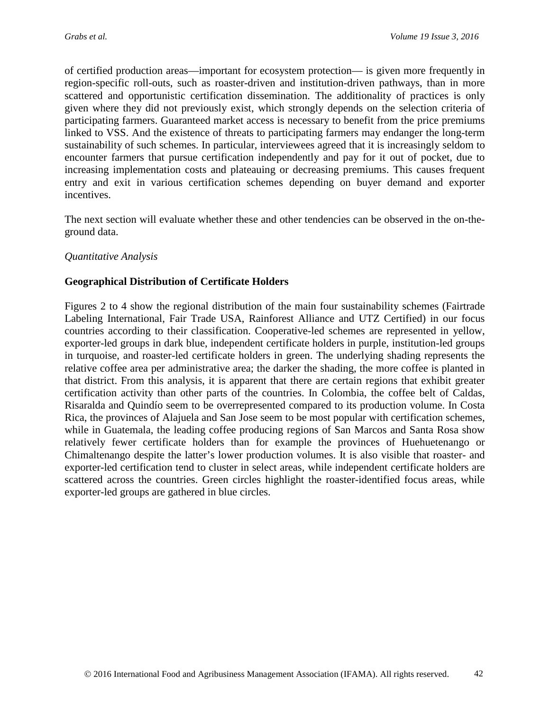of certified production areas—important for ecosystem protection— is given more frequently in region-specific roll-outs, such as roaster-driven and institution-driven pathways, than in more scattered and opportunistic certification dissemination. The additionality of practices is only given where they did not previously exist, which strongly depends on the selection criteria of participating farmers. Guaranteed market access is necessary to benefit from the price premiums linked to VSS. And the existence of threats to participating farmers may endanger the long-term sustainability of such schemes. In particular, interviewees agreed that it is increasingly seldom to encounter farmers that pursue certification independently and pay for it out of pocket, due to increasing implementation costs and plateauing or decreasing premiums. This causes frequent entry and exit in various certification schemes depending on buyer demand and exporter incentives.

The next section will evaluate whether these and other tendencies can be observed in the on-theground data.

## *Quantitative Analysis*

## **Geographical Distribution of Certificate Holders**

Figures 2 to 4 show the regional distribution of the main four sustainability schemes (Fairtrade Labeling International, Fair Trade USA, Rainforest Alliance and UTZ Certified) in our focus countries according to their classification. Cooperative-led schemes are represented in yellow, exporter-led groups in dark blue, independent certificate holders in purple, institution-led groups in turquoise, and roaster-led certificate holders in green. The underlying shading represents the relative coffee area per administrative area; the darker the shading, the more coffee is planted in that district. From this analysis, it is apparent that there are certain regions that exhibit greater certification activity than other parts of the countries. In Colombia, the coffee belt of Caldas, Risaralda and Quindío seem to be overrepresented compared to its production volume. In Costa Rica, the provinces of Alajuela and San Jose seem to be most popular with certification schemes, while in Guatemala, the leading coffee producing regions of San Marcos and Santa Rosa show relatively fewer certificate holders than for example the provinces of Huehuetenango or Chimaltenango despite the latter's lower production volumes. It is also visible that roaster- and exporter-led certification tend to cluster in select areas, while independent certificate holders are scattered across the countries. Green circles highlight the roaster-identified focus areas, while exporter-led groups are gathered in blue circles.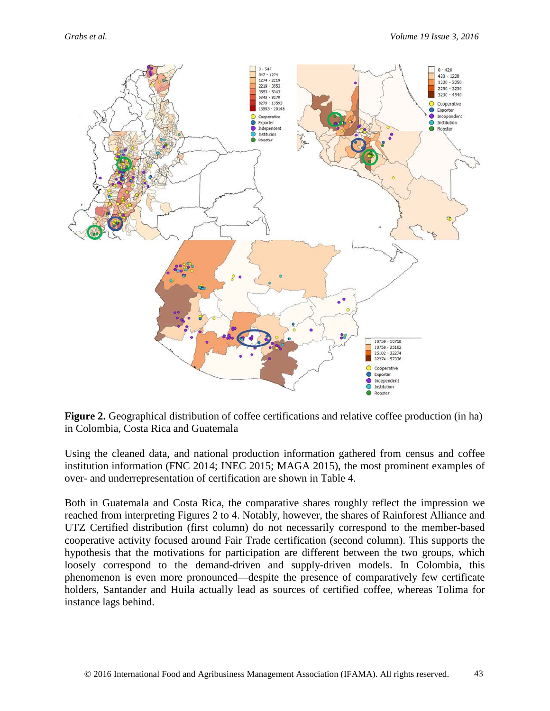

**Figure 2.** Geographical distribution of coffee certifications and relative coffee production (in ha) in Colombia, Costa Rica and Guatemala

Using the cleaned data, and national production information gathered from census and coffee institution information (FNC 2014; INEC 2015; MAGA 2015), the most prominent examples of over- and underrepresentation of certification are shown in Table 4.

Both in Guatemala and Costa Rica, the comparative shares roughly reflect the impression we reached from interpreting Figures 2 to 4. Notably, however, the shares of Rainforest Alliance and UTZ Certified distribution (first column) do not necessarily correspond to the member-based cooperative activity focused around Fair Trade certification (second column). This supports the hypothesis that the motivations for participation are different between the two groups, which loosely correspond to the demand-driven and supply-driven models. In Colombia, this phenomenon is even more pronounced—despite the presence of comparatively few certificate holders, Santander and Huila actually lead as sources of certified coffee, whereas Tolima for instance lags behind.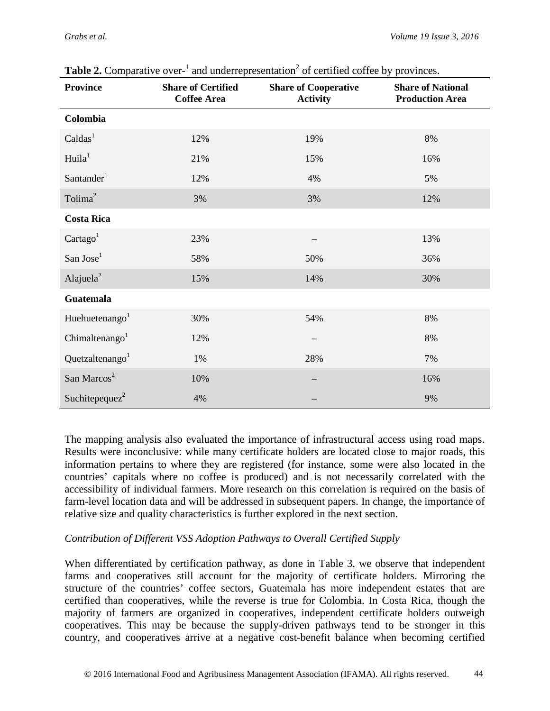| <b>Province</b>             | <b>Share of Certified</b><br><b>Coffee Area</b> | <b>Share of Cooperative</b><br><b>Activity</b> | <b>Share of National</b><br><b>Production Area</b> |
|-----------------------------|-------------------------------------------------|------------------------------------------------|----------------------------------------------------|
| Colombia                    |                                                 |                                                |                                                    |
| Caldas <sup>1</sup>         | 12%                                             | 19%                                            | 8%                                                 |
| Huila <sup>1</sup>          | 21%                                             | 15%                                            | 16%                                                |
| Santander <sup>1</sup>      | 12%                                             | 4%                                             | 5%                                                 |
| Tolima <sup>2</sup>         | 3%                                              | 3%                                             | 12%                                                |
| <b>Costa Rica</b>           |                                                 |                                                |                                                    |
| Cartago <sup>1</sup>        | 23%                                             |                                                | 13%                                                |
| San Jose <sup>1</sup>       | 58%                                             | 50%                                            | 36%                                                |
| Alajuela <sup>2</sup>       | 15%                                             | 14%                                            | 30%                                                |
| <b>Guatemala</b>            |                                                 |                                                |                                                    |
| Huehuetenango <sup>1</sup>  | 30%                                             | 54%                                            | 8%                                                 |
| Chimaltenango <sup>1</sup>  | 12%                                             |                                                | $8\%$                                              |
| Quetzaltenango <sup>1</sup> | 1%                                              | 28%                                            | 7%                                                 |
| San Marcos <sup>2</sup>     | 10%                                             |                                                | 16%                                                |
| Suchitepeque $z^2$          | 4%                                              |                                                | 9%                                                 |

**Table 2.** Comparative over- $\frac{1}{1}$  and underrepresentation<sup>2</sup> of certified coffee by provinces.

The mapping analysis also evaluated the importance of infrastructural access using road maps. Results were inconclusive: while many certificate holders are located close to major roads, this information pertains to where they are registered (for instance, some were also located in the countries' capitals where no coffee is produced) and is not necessarily correlated with the accessibility of individual farmers. More research on this correlation is required on the basis of farm-level location data and will be addressed in subsequent papers. In change, the importance of relative size and quality characteristics is further explored in the next section.

### *Contribution of Different VSS Adoption Pathways to Overall Certified Supply*

When differentiated by certification pathway, as done in Table 3, we observe that independent farms and cooperatives still account for the majority of certificate holders. Mirroring the structure of the countries' coffee sectors, Guatemala has more independent estates that are certified than cooperatives, while the reverse is true for Colombia. In Costa Rica, though the majority of farmers are organized in cooperatives, independent certificate holders outweigh cooperatives. This may be because the supply-driven pathways tend to be stronger in this country, and cooperatives arrive at a negative cost-benefit balance when becoming certified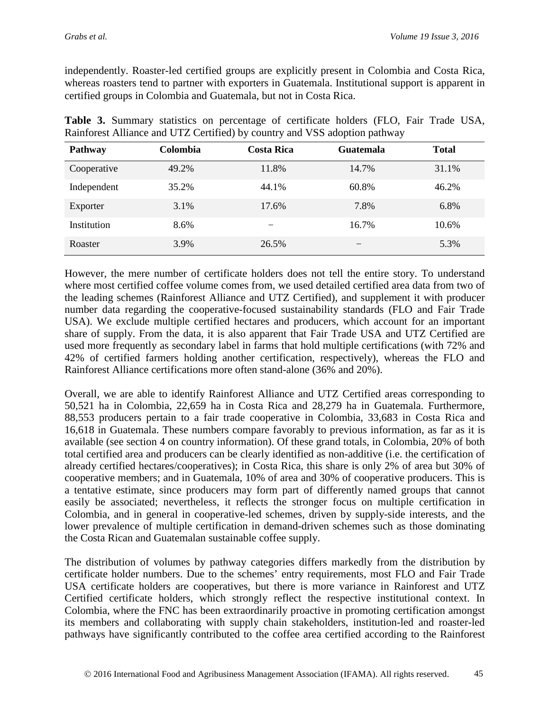independently. Roaster-led certified groups are explicitly present in Colombia and Costa Rica, whereas roasters tend to partner with exporters in Guatemala. Institutional support is apparent in certified groups in Colombia and Guatemala, but not in Costa Rica.

| Pathway     | Colombia | <b>Costa Rica</b> | Guatemala | <b>Total</b> |
|-------------|----------|-------------------|-----------|--------------|
| Cooperative | 49.2%    | 11.8%             | 14.7%     | 31.1%        |
| Independent | 35.2%    | 44.1%             | 60.8%     | 46.2%        |
| Exporter    | 3.1%     | 17.6%             | 7.8%      | 6.8%         |
| Institution | 8.6%     |                   | 16.7%     | 10.6%        |
| Roaster     | 3.9%     | 26.5%             |           | 5.3%         |

**Table 3.** Summary statistics on percentage of certificate holders (FLO, Fair Trade USA, Rainforest Alliance and UTZ Certified) by country and VSS adoption pathway

However, the mere number of certificate holders does not tell the entire story. To understand where most certified coffee volume comes from, we used detailed certified area data from two of the leading schemes (Rainforest Alliance and UTZ Certified), and supplement it with producer number data regarding the cooperative-focused sustainability standards (FLO and Fair Trade USA). We exclude multiple certified hectares and producers, which account for an important share of supply. From the data, it is also apparent that Fair Trade USA and UTZ Certified are used more frequently as secondary label in farms that hold multiple certifications (with 72% and 42% of certified farmers holding another certification, respectively), whereas the FLO and Rainforest Alliance certifications more often stand-alone (36% and 20%).

Overall, we are able to identify Rainforest Alliance and UTZ Certified areas corresponding to 50,521 ha in Colombia, 22,659 ha in Costa Rica and 28,279 ha in Guatemala. Furthermore, 88,553 producers pertain to a fair trade cooperative in Colombia, 33,683 in Costa Rica and 16,618 in Guatemala. These numbers compare favorably to previous information, as far as it is available (see section 4 on country information). Of these grand totals, in Colombia, 20% of both total certified area and producers can be clearly identified as non-additive (i.e. the certification of already certified hectares/cooperatives); in Costa Rica, this share is only 2% of area but 30% of cooperative members; and in Guatemala, 10% of area and 30% of cooperative producers. This is a tentative estimate, since producers may form part of differently named groups that cannot easily be associated; nevertheless, it reflects the stronger focus on multiple certification in Colombia, and in general in cooperative-led schemes, driven by supply-side interests, and the lower prevalence of multiple certification in demand-driven schemes such as those dominating the Costa Rican and Guatemalan sustainable coffee supply.

The distribution of volumes by pathway categories differs markedly from the distribution by certificate holder numbers. Due to the schemes' entry requirements, most FLO and Fair Trade USA certificate holders are cooperatives, but there is more variance in Rainforest and UTZ Certified certificate holders, which strongly reflect the respective institutional context. In Colombia, where the FNC has been extraordinarily proactive in promoting certification amongst its members and collaborating with supply chain stakeholders, institution-led and roaster-led pathways have significantly contributed to the coffee area certified according to the Rainforest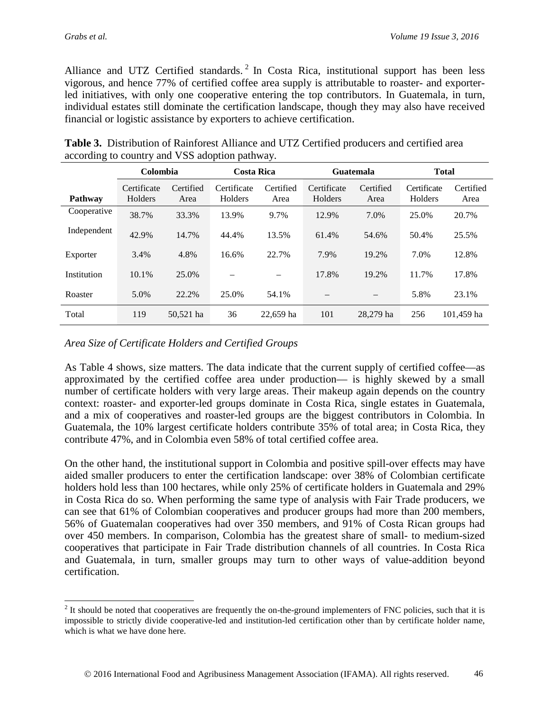Alliance and UTZ Certified standards.<sup>[2](#page-15-0)</sup> In Costa Rica, institutional support has been less vigorous, and hence 77% of certified coffee area supply is attributable to roaster- and exporterled initiatives, with only one cooperative entering the top contributors. In Guatemala, in turn, individual estates still dominate the certification landscape, though they may also have received financial or logistic assistance by exporters to achieve certification.

|                | Colombia               |                   | <b>Costa Rica</b>      |                   | <b>Guatemala</b>       |                   | <b>Total</b>           |                   |
|----------------|------------------------|-------------------|------------------------|-------------------|------------------------|-------------------|------------------------|-------------------|
| <b>Pathway</b> | Certificate<br>Holders | Certified<br>Area | Certificate<br>Holders | Certified<br>Area | Certificate<br>Holders | Certified<br>Area | Certificate<br>Holders | Certified<br>Area |
| Cooperative    | 38.7%                  | 33.3%             | 13.9%                  | 9.7%              | 12.9%                  | 7.0%              | 25.0%                  | 20.7%             |
| Independent    | 42.9%                  | 14.7%             | 44.4%                  | 13.5%             | 61.4%                  | 54.6%             | 50.4%                  | 25.5%             |
| Exporter       | 3.4%                   | 4.8%              | 16.6%                  | 22.7%             | 7.9%                   | 19.2%             | 7.0%                   | 12.8%             |
| Institution    | 10.1%                  | 25.0%             |                        | —                 | 17.8%                  | 19.2%             | 11.7%                  | 17.8%             |
| Roaster        | 5.0%                   | 22.2%             | 25.0%                  | 54.1%             |                        |                   | 5.8%                   | 23.1%             |
| Total          | 119                    | 50,521 ha         | 36                     | 22,659 ha         | 101                    | 28,279 ha         | 256                    | 101,459 ha        |

| <b>Table 3.</b> Distribution of Rainforest Alliance and UTZ Certified producers and certified area |  |  |  |
|----------------------------------------------------------------------------------------------------|--|--|--|
| according to country and VSS adoption pathway.                                                     |  |  |  |

### *Area Size of Certificate Holders and Certified Groups*

As Table 4 shows, size matters. The data indicate that the current supply of certified coffee—as approximated by the certified coffee area under production— is highly skewed by a small number of certificate holders with very large areas. Their makeup again depends on the country context: roaster- and exporter-led groups dominate in Costa Rica, single estates in Guatemala, and a mix of cooperatives and roaster-led groups are the biggest contributors in Colombia. In Guatemala, the 10% largest certificate holders contribute 35% of total area; in Costa Rica, they contribute 47%, and in Colombia even 58% of total certified coffee area.

On the other hand, the institutional support in Colombia and positive spill-over effects may have aided smaller producers to enter the certification landscape: over 38% of Colombian certificate holders hold less than 100 hectares, while only 25% of certificate holders in Guatemala and 29% in Costa Rica do so. When performing the same type of analysis with Fair Trade producers, we can see that 61% of Colombian cooperatives and producer groups had more than 200 members, 56% of Guatemalan cooperatives had over 350 members, and 91% of Costa Rican groups had over 450 members. In comparison, Colombia has the greatest share of small- to medium-sized cooperatives that participate in Fair Trade distribution channels of all countries. In Costa Rica and Guatemala, in turn, smaller groups may turn to other ways of value-addition beyond certification.

<span id="page-15-0"></span> $2$  It should be noted that cooperatives are frequently the on-the-ground implementers of FNC policies, such that it is impossible to strictly divide cooperative-led and institution-led certification other than by certificate holder name, which is what we have done here.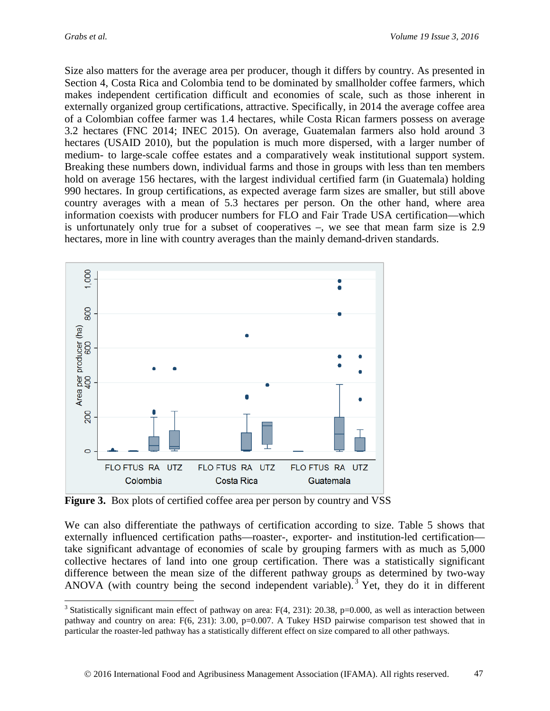Size also matters for the average area per producer, though it differs by country. As presented in Section 4, Costa Rica and Colombia tend to be dominated by smallholder coffee farmers, which makes independent certification difficult and economies of scale, such as those inherent in externally organized group certifications, attractive. Specifically, in 2014 the average coffee area of a Colombian coffee farmer was 1.4 hectares, while Costa Rican farmers possess on average 3.2 hectares (FNC 2014; INEC 2015). On average, Guatemalan farmers also hold around 3 hectares (USAID 2010), but the population is much more dispersed, with a larger number of medium- to large-scale coffee estates and a comparatively weak institutional support system. Breaking these numbers down, individual farms and those in groups with less than ten members hold on average 156 hectares, with the largest individual certified farm (in Guatemala) holding 990 hectares. In group certifications, as expected average farm sizes are smaller, but still above country averages with a mean of 5.3 hectares per person. On the other hand, where area information coexists with producer numbers for FLO and Fair Trade USA certification—which is unfortunately only true for a subset of cooperatives –, we see that mean farm size is 2.9 hectares, more in line with country averages than the mainly demand-driven standards.



**Figure 3.** Box plots of certified coffee area per person by country and VSS

We can also differentiate the pathways of certification according to size. Table 5 shows that externally influenced certification paths—roaster-, exporter- and institution-led certification take significant advantage of economies of scale by grouping farmers with as much as 5,000 collective hectares of land into one group certification. There was a statistically significant difference between the mean size of the different pathway groups as determined by two-way ANOVA (with country being the second independent variable). [3](#page-16-0) Yet, they do it in different

<span id="page-16-0"></span><sup>&</sup>lt;sup>3</sup> Statistically significant main effect of pathway on area:  $F(4, 231)$ : 20.38, p=0.000, as well as interaction between pathway and country on area: F(6, 231): 3.00, p=0.007. A Tukey HSD pairwise comparison test showed that in particular the roaster-led pathway has a statistically different effect on size compared to all other pathways.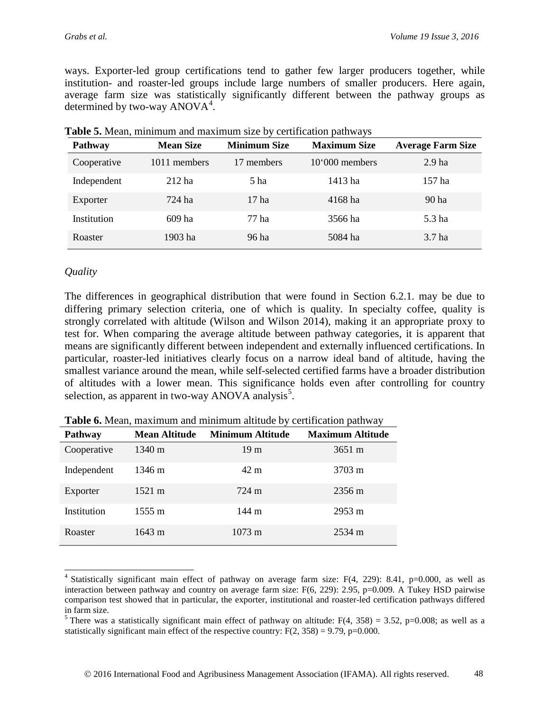ways. Exporter-led group certifications tend to gather few larger producers together, while institution- and roaster-led groups include large numbers of smaller producers. Here again, average farm size was statistically significantly different between the pathway groups as determined by two-way  $ANOVA<sup>4</sup>$  $ANOVA<sup>4</sup>$  $ANOVA<sup>4</sup>$ .

| Pathway     | <b>Mean Size</b> | <b>Minimum Size</b> | <b>Maximum Size</b> | <b>Average Farm Size</b> |
|-------------|------------------|---------------------|---------------------|--------------------------|
| Cooperative | 1011 members     | 17 members          | $10'000$ members    | 2.9 <sub>ha</sub>        |
| Independent | $212$ ha         | 5 <sub>ha</sub>     | 1413 ha             | 157 ha                   |
| Exporter    | 724 ha           | 17 <sub>ha</sub>    | 4168 ha             | 90 <sub>ha</sub>         |
| Institution | 609 ha           | 77 ha               | 3566 ha             | 5.3 ha                   |
| Roaster     | 1903 ha          | 96 ha               | 5084 ha             | 3.7 ha                   |

**Table 5.** Mean, minimum and maximum size by certification pathways

## *Quality*

The differences in geographical distribution that were found in Section 6.2.1. may be due to differing primary selection criteria, one of which is quality. In specialty coffee, quality is strongly correlated with altitude (Wilson and Wilson 2014), making it an appropriate proxy to test for. When comparing the average altitude between pathway categories, it is apparent that means are significantly different between independent and externally influenced certifications. In particular, roaster-led initiatives clearly focus on a narrow ideal band of altitude, having the smallest variance around the mean, while self-selected certified farms have a broader distribution of altitudes with a lower mean. This significance holds even after controlling for country selection, as apparent in two-way ANOVA analysis<sup>[5](#page-17-1)</sup>.

| <b>Pathway</b> | <b>Mean Altitude</b> | <b>Minimum Altitude</b> | <b>Maximum Altitude</b> |
|----------------|----------------------|-------------------------|-------------------------|
| Cooperative    | $1340 \text{ m}$     | 19 <sub>m</sub>         | $3651 \text{ m}$        |
| Independent    | 1346 m               | 42 m                    | 3703 m                  |
| Exporter       | $1521 \text{ m}$     | 724 m                   | 2356 m                  |
| Institution    | 1555 m               | 144 m                   | 2953 m                  |
| Roaster        | $1643 \text{ m}$     | $1073 \text{ m}$        | $2534 \text{ m}$        |

**Table 6.** Mean, maximum and minimum altitude by certification pathway

<span id="page-17-0"></span><sup>&</sup>lt;sup>4</sup> Statistically significant main effect of pathway on average farm size: F(4, 229): 8.41, p=0.000, as well as interaction between pathway and country on average farm size: F(6, 229): 2.95, p=0.009. A Tukey HSD pairwise comparison test showed that in particular, the exporter, institutional and roaster-led certification pathways differed in farm size.

<span id="page-17-1"></span><sup>&</sup>lt;sup>5</sup> There was a statistically significant main effect of pathway on altitude:  $F(4, 358) = 3.52$ , p=0.008; as well as a statistically significant main effect of the respective country:  $F(2, 358) = 9.79$ , p=0.000.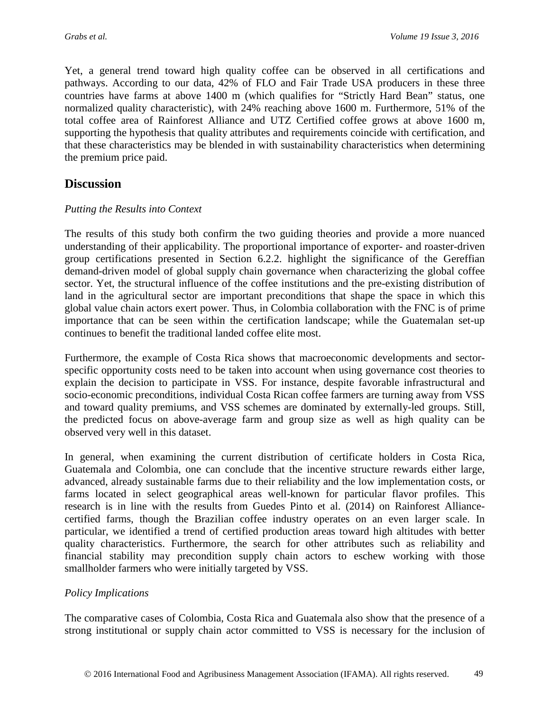Yet, a general trend toward high quality coffee can be observed in all certifications and pathways. According to our data, 42% of FLO and Fair Trade USA producers in these three countries have farms at above 1400 m (which qualifies for "Strictly Hard Bean" status, one normalized quality characteristic), with 24% reaching above 1600 m. Furthermore, 51% of the total coffee area of Rainforest Alliance and UTZ Certified coffee grows at above 1600 m, supporting the hypothesis that quality attributes and requirements coincide with certification, and that these characteristics may be blended in with sustainability characteristics when determining the premium price paid.

## **Discussion**

## *Putting the Results into Context*

The results of this study both confirm the two guiding theories and provide a more nuanced understanding of their applicability. The proportional importance of exporter- and roaster-driven group certifications presented in Section 6.2.2. highlight the significance of the Gereffian demand-driven model of global supply chain governance when characterizing the global coffee sector. Yet, the structural influence of the coffee institutions and the pre-existing distribution of land in the agricultural sector are important preconditions that shape the space in which this global value chain actors exert power. Thus, in Colombia collaboration with the FNC is of prime importance that can be seen within the certification landscape; while the Guatemalan set-up continues to benefit the traditional landed coffee elite most.

Furthermore, the example of Costa Rica shows that macroeconomic developments and sectorspecific opportunity costs need to be taken into account when using governance cost theories to explain the decision to participate in VSS. For instance, despite favorable infrastructural and socio-economic preconditions, individual Costa Rican coffee farmers are turning away from VSS and toward quality premiums, and VSS schemes are dominated by externally-led groups. Still, the predicted focus on above-average farm and group size as well as high quality can be observed very well in this dataset.

In general, when examining the current distribution of certificate holders in Costa Rica, Guatemala and Colombia, one can conclude that the incentive structure rewards either large, advanced, already sustainable farms due to their reliability and the low implementation costs, or farms located in select geographical areas well-known for particular flavor profiles. This research is in line with the results from Guedes Pinto et al. (2014) on Rainforest Alliancecertified farms, though the Brazilian coffee industry operates on an even larger scale. In particular, we identified a trend of certified production areas toward high altitudes with better quality characteristics. Furthermore, the search for other attributes such as reliability and financial stability may precondition supply chain actors to eschew working with those smallholder farmers who were initially targeted by VSS.

### *Policy Implications*

The comparative cases of Colombia, Costa Rica and Guatemala also show that the presence of a strong institutional or supply chain actor committed to VSS is necessary for the inclusion of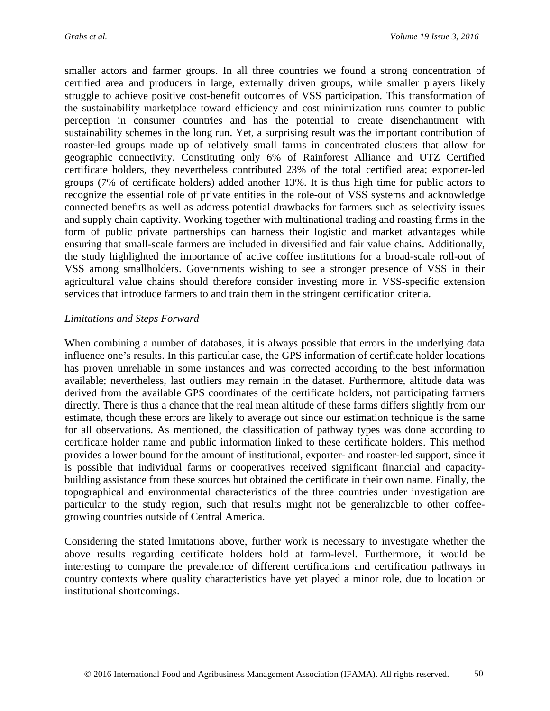smaller actors and farmer groups. In all three countries we found a strong concentration of certified area and producers in large, externally driven groups, while smaller players likely struggle to achieve positive cost-benefit outcomes of VSS participation. This transformation of the sustainability marketplace toward efficiency and cost minimization runs counter to public perception in consumer countries and has the potential to create disenchantment with sustainability schemes in the long run. Yet, a surprising result was the important contribution of roaster-led groups made up of relatively small farms in concentrated clusters that allow for geographic connectivity. Constituting only 6% of Rainforest Alliance and UTZ Certified certificate holders, they nevertheless contributed 23% of the total certified area; exporter-led groups (7% of certificate holders) added another 13%. It is thus high time for public actors to recognize the essential role of private entities in the role-out of VSS systems and acknowledge connected benefits as well as address potential drawbacks for farmers such as selectivity issues and supply chain captivity. Working together with multinational trading and roasting firms in the form of public private partnerships can harness their logistic and market advantages while ensuring that small-scale farmers are included in diversified and fair value chains. Additionally, the study highlighted the importance of active coffee institutions for a broad-scale roll-out of VSS among smallholders. Governments wishing to see a stronger presence of VSS in their agricultural value chains should therefore consider investing more in VSS-specific extension services that introduce farmers to and train them in the stringent certification criteria.

#### *Limitations and Steps Forward*

When combining a number of databases, it is always possible that errors in the underlying data influence one's results. In this particular case, the GPS information of certificate holder locations has proven unreliable in some instances and was corrected according to the best information available; nevertheless, last outliers may remain in the dataset. Furthermore, altitude data was derived from the available GPS coordinates of the certificate holders, not participating farmers directly. There is thus a chance that the real mean altitude of these farms differs slightly from our estimate, though these errors are likely to average out since our estimation technique is the same for all observations. As mentioned, the classification of pathway types was done according to certificate holder name and public information linked to these certificate holders. This method provides a lower bound for the amount of institutional, exporter- and roaster-led support, since it is possible that individual farms or cooperatives received significant financial and capacitybuilding assistance from these sources but obtained the certificate in their own name. Finally, the topographical and environmental characteristics of the three countries under investigation are particular to the study region, such that results might not be generalizable to other coffeegrowing countries outside of Central America.

Considering the stated limitations above, further work is necessary to investigate whether the above results regarding certificate holders hold at farm-level. Furthermore, it would be interesting to compare the prevalence of different certifications and certification pathways in country contexts where quality characteristics have yet played a minor role, due to location or institutional shortcomings.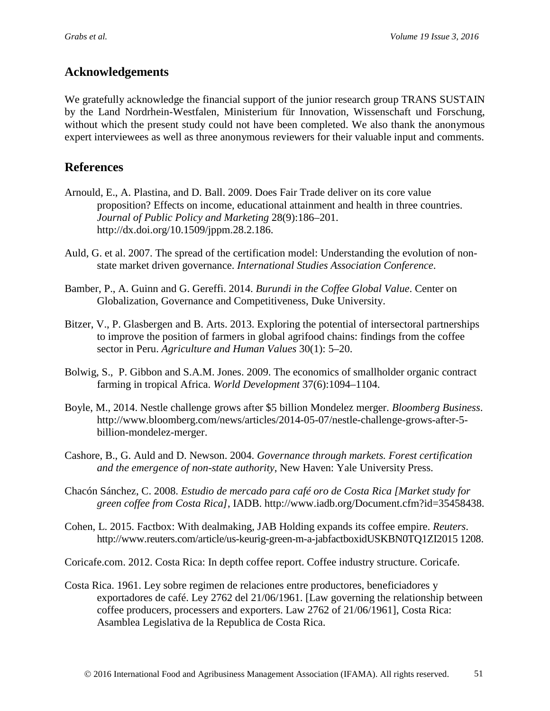## **Acknowledgements**

We gratefully acknowledge the financial support of the junior research group TRANS SUSTAIN by the Land Nordrhein-Westfalen, Ministerium für Innovation, Wissenschaft und Forschung, without which the present study could not have been completed. We also thank the anonymous expert interviewees as well as three anonymous reviewers for their valuable input and comments.

## **References**

- Arnould, E., A. Plastina, and D. Ball. 2009. Does Fair Trade deliver on its core value proposition? Effects on income, educational attainment and health in three countries. *Journal of Public Policy and Marketing* 28(9):186–201. http://dx.doi.org/10.1509/jppm.28.2.186.
- Auld, G. et al. 2007. The spread of the certification model: Understanding the evolution of nonstate market driven governance. *International Studies Association Conference*.
- Bamber, P., A. Guinn and G. Gereffi. 2014. *Burundi in the Coffee Global Value*. Center on Globalization, Governance and Competitiveness, Duke University.
- Bitzer, V., P. Glasbergen and B. Arts. 2013. Exploring the potential of intersectoral partnerships to improve the position of farmers in global agrifood chains: findings from the coffee sector in Peru. *Agriculture and Human Values* 30(1): 5–20.
- Bolwig, S., P. Gibbon and S.A.M. Jones. 2009. The economics of smallholder organic contract farming in tropical Africa. *World Development* 37(6):1094–1104.
- Boyle, M., 2014. Nestle challenge grows after \$5 billion Mondelez merger. *Bloomberg Business*. http://www.bloomberg.com/news/articles/2014-05-07/nestle-challenge-grows-after-5 billion-mondelez-merger.
- Cashore, B., G. Auld and D. Newson. 2004. *Governance through markets. Forest certification and the emergence of non-state authority*, New Haven: Yale University Press.
- Chacón Sánchez, C. 2008. *Estudio de mercado para café oro de Costa Rica [Market study for green coffee from Costa Rica]*, IADB. http://www.iadb.org/Document.cfm?id=35458438.
- Cohen, L. 2015. Factbox: With dealmaking, JAB Holding expands its coffee empire. *Reuters*. http://www.reuters.com/article/us-keurig-green-m-a-jabfactboxidUSKBN0TQ1ZI2015 1208.
- Coricafe.com. 2012. Costa Rica: In depth coffee report. Coffee industry structure. Coricafe.
- Costa Rica. 1961. Ley sobre regimen de relaciones entre productores, beneficiadores y exportadores de café. Ley 2762 del 21/06/1961. [Law governing the relationship between coffee producers, processers and exporters. Law 2762 of 21/06/1961], Costa Rica: Asamblea Legislativa de la Republica de Costa Rica.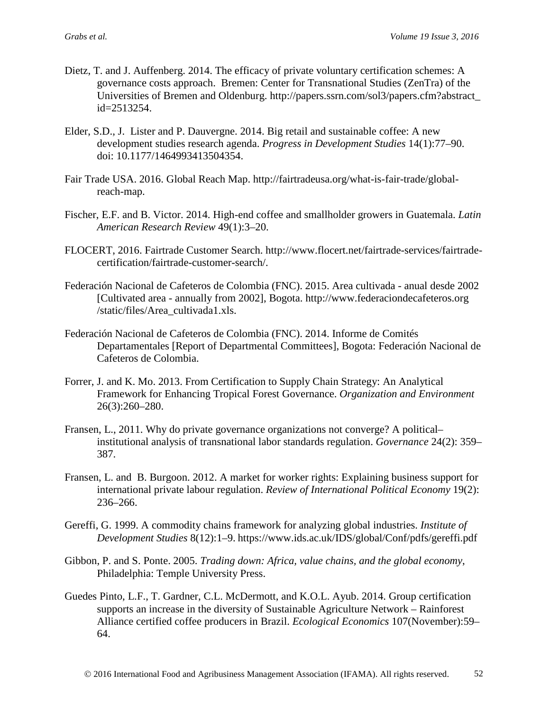- Dietz, T. and J. Auffenberg. 2014. The efficacy of private voluntary certification schemes: A governance costs approach. Bremen: Center for Transnational Studies (ZenTra) of the Universities of Bremen and Oldenburg. http://papers.ssrn.com/sol3/papers.cfm?abstract\_ id=2513254.
- Elder, S.D., J. Lister and P. Dauvergne. 2014. Big retail and sustainable coffee: A new development studies research agenda. *Progress in Development Studies* 14(1):77–90. doi: 10.1177/1464993413504354.
- Fair Trade USA. 2016. Global Reach Map. http://fairtradeusa.org/what-is-fair-trade/globalreach-map.
- Fischer, E.F. and B. Victor. 2014. High-end coffee and smallholder growers in Guatemala. *Latin American Research Review* 49(1):3–20.
- FLOCERT, 2016. Fairtrade Customer Search. http://www.flocert.net/fairtrade-services/fairtradecertification/fairtrade-customer-search/.
- Federación Nacional de Cafeteros de Colombia (FNC). 2015. Area cultivada anual desde 2002 [Cultivated area - annually from 2002], Bogota. http://www.federaciondecafeteros.org /static/files/Area\_cultivada1.xls.
- Federación Nacional de Cafeteros de Colombia (FNC). 2014. Informe de Comités Departamentales [Report of Departmental Committees], Bogota: Federación Nacional de Cafeteros de Colombia.
- Forrer, J. and K. Mo. 2013. From Certification to Supply Chain Strategy: An Analytical Framework for Enhancing Tropical Forest Governance. *Organization and Environment* 26(3):260–280.
- Fransen, L., 2011. Why do private governance organizations not converge? A political– institutional analysis of transnational labor standards regulation. *Governance* 24(2): 359– 387.
- Fransen, L. and B. Burgoon. 2012. A market for worker rights: Explaining business support for international private labour regulation. *Review of International Political Economy* 19(2): 236–266.
- Gereffi, G. 1999. A commodity chains framework for analyzing global industries. *Institute of Development Studies* 8(12):1–9. https://www.ids.ac.uk/IDS/global/Conf/pdfs/gereffi.pdf
- Gibbon, P. and S. Ponte. 2005. *Trading down: Africa, value chains, and the global economy*, Philadelphia: Temple University Press.
- Guedes Pinto, L.F., T. Gardner, C.L. McDermott, and K.O.L. Ayub. 2014. Group certification supports an increase in the diversity of Sustainable Agriculture Network – Rainforest Alliance certified coffee producers in Brazil. *Ecological Economics* 107(November):59– 64.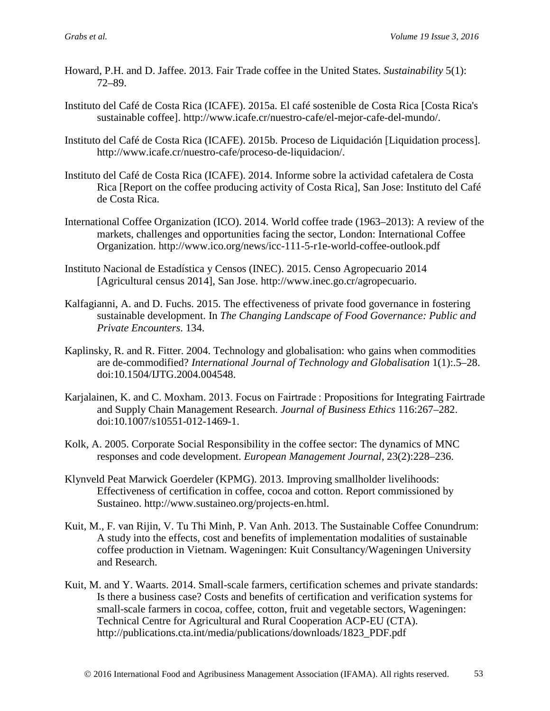- Howard, P.H. and D. Jaffee. 2013. Fair Trade coffee in the United States. *Sustainability* 5(1): 72–89.
- Instituto del Café de Costa Rica (ICAFE). 2015a. El café sostenible de Costa Rica [Costa Rica's sustainable coffee]. http://www.icafe.cr/nuestro-cafe/el-mejor-cafe-del-mundo/.
- Instituto del Café de Costa Rica (ICAFE). 2015b. Proceso de Liquidación [Liquidation process]. http://www.icafe.cr/nuestro-cafe/proceso-de-liquidacion/.
- Instituto del Café de Costa Rica (ICAFE). 2014. Informe sobre la actividad cafetalera de Costa Rica [Report on the coffee producing activity of Costa Rica], San Jose: Instituto del Café de Costa Rica.
- International Coffee Organization (ICO). 2014. World coffee trade (1963–2013): A review of the markets, challenges and opportunities facing the sector, London: International Coffee Organization. http://www.ico.org/news/icc-111-5-r1e-world-coffee-outlook.pdf
- Instituto Nacional de Estadística y Censos (INEC). 2015. Censo Agropecuario 2014 [Agricultural census 2014], San Jose. http://www.inec.go.cr/agropecuario.
- Kalfagianni, A. and D. Fuchs. 2015. The effectiveness of private food governance in fostering sustainable development. In *The Changing Landscape of Food Governance: Public and Private Encounters*. 134.
- Kaplinsky, R. and R. Fitter. 2004. Technology and globalisation: who gains when commodities are de-commodified? *International Journal of Technology and Globalisation* 1(1):.5–28. doi:10.1504/IJTG.2004.004548.
- Karjalainen, K. and C. Moxham. 2013. Focus on Fairtrade : Propositions for Integrating Fairtrade and Supply Chain Management Research. *Journal of Business Ethics* 116:267–282. doi:10.1007/s10551-012-1469-1.
- Kolk, A. 2005. Corporate Social Responsibility in the coffee sector: The dynamics of MNC responses and code development. *European Management Journal*, 23(2):228–236.
- Klynveld Peat Marwick Goerdeler (KPMG). 2013. Improving smallholder livelihoods: Effectiveness of certification in coffee, cocoa and cotton. Report commissioned by Sustaineo. http://www.sustaineo.org/projects-en.html.
- Kuit, M., F. van Rijin, V. Tu Thi Minh, P. Van Anh. 2013. The Sustainable Coffee Conundrum: A study into the effects, cost and benefits of implementation modalities of sustainable coffee production in Vietnam. Wageningen: Kuit Consultancy/Wageningen University and Research.
- Kuit, M. and Y. Waarts. 2014. Small-scale farmers, certification schemes and private standards: Is there a business case? Costs and benefits of certification and verification systems for small-scale farmers in cocoa, coffee, cotton, fruit and vegetable sectors, Wageningen: Technical Centre for Agricultural and Rural Cooperation ACP-EU (CTA). http://publications.cta.int/media/publications/downloads/1823\_PDF.pdf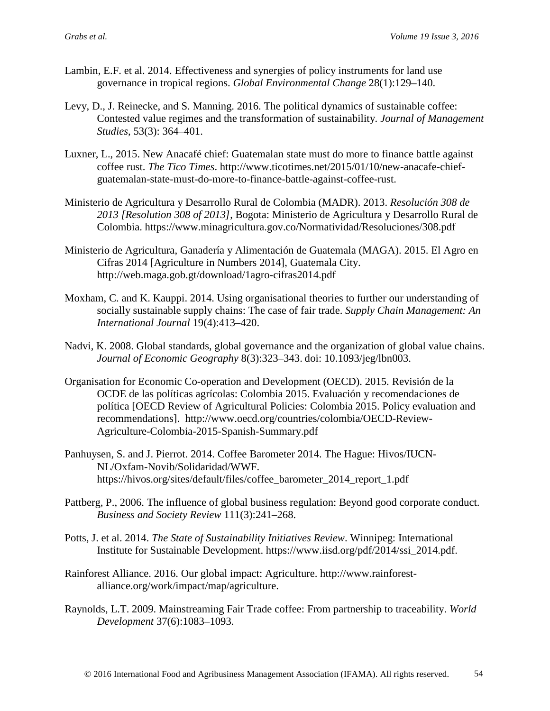- Lambin, E.F. et al. 2014. Effectiveness and synergies of policy instruments for land use governance in tropical regions. *Global Environmental Change* 28(1):129–140.
- Levy, D., J. Reinecke, and S. Manning. 2016. The political dynamics of sustainable coffee: Contested value regimes and the transformation of sustainability. *Journal of Management Studies*, 53(3): 364–401.
- Luxner, L., 2015. New Anacafé chief: Guatemalan state must do more to finance battle against coffee rust. *The Tico Times*. http://www.ticotimes.net/2015/01/10/new-anacafe-chiefguatemalan-state-must-do-more-to-finance-battle-against-coffee-rust.
- Ministerio de Agricultura y Desarrollo Rural de Colombia (MADR). 2013. *Resolución 308 de 2013 [Resolution 308 of 2013]*, Bogota: Ministerio de Agricultura y Desarrollo Rural de Colombia. https://www.minagricultura.gov.co/Normatividad/Resoluciones/308.pdf
- Ministerio de Agricultura, Ganadería y Alimentación de Guatemala (MAGA). 2015. El Agro en Cifras 2014 [Agriculture in Numbers 2014], Guatemala City. http://web.maga.gob.gt/download/1agro-cifras2014.pdf
- Moxham, C. and K. Kauppi. 2014. Using organisational theories to further our understanding of socially sustainable supply chains: The case of fair trade. *Supply Chain Management: An International Journal* 19(4):413–420.
- Nadvi, K. 2008. Global standards, global governance and the organization of global value chains. *Journal of Economic Geography* 8(3):323–343. doi: 10.1093/jeg/lbn003.
- Organisation for Economic Co-operation and Development (OECD). 2015. Revisión de la OCDE de las políticas agrícolas: Colombia 2015. Evaluación y recomendaciones de política [OECD Review of Agricultural Policies: Colombia 2015. Policy evaluation and recommendations]. http://www.oecd.org/countries/colombia/OECD-Review-Agriculture-Colombia-2015-Spanish-Summary.pdf
- Panhuysen, S. and J. Pierrot. 2014. Coffee Barometer 2014. The Hague: Hivos/IUCN-NL/Oxfam-Novib/Solidaridad/WWF. https://hivos.org/sites/default/files/coffee\_barometer\_2014\_report\_1.pdf
- Pattberg, P., 2006. The influence of global business regulation: Beyond good corporate conduct. *Business and Society Review* 111(3):241–268.
- Potts, J. et al. 2014. *The State of Sustainability Initiatives Review*. Winnipeg: International Institute for Sustainable Development. https://www.iisd.org/pdf/2014/ssi\_2014.pdf.
- Rainforest Alliance. 2016. Our global impact: Agriculture. http://www.rainforestalliance.org/work/impact/map/agriculture.
- Raynolds, L.T. 2009. Mainstreaming Fair Trade coffee: From partnership to traceability. *World Development* 37(6):1083–1093.